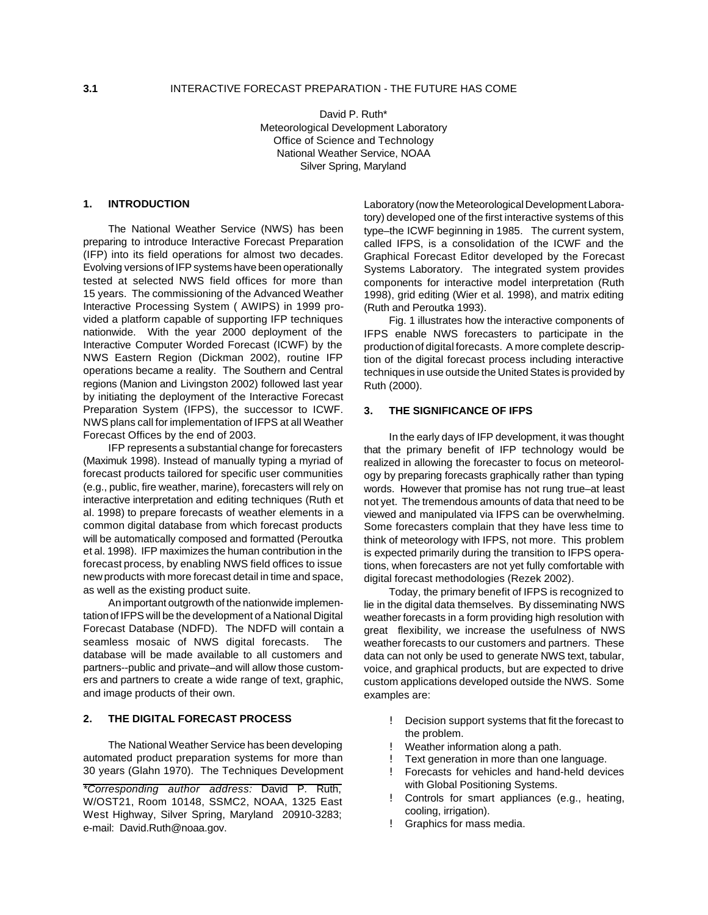David P. Ruth\* Meteorological Development Laboratory Office of Science and Technology National Weather Service, NOAA Silver Spring, Maryland

## **1. INTRODUCTION**

The National Weather Service (NWS) has been preparing to introduce Interactive Forecast Preparation (IFP) into its field operations for almost two decades. Evolving versions of IFP systems have been operationally tested at selected NWS field offices for more than 15 years. The commissioning of the Advanced Weather Interactive Processing System ( AWIPS) in 1999 provided a platform capable of supporting IFP techniques nationwide. With the year 2000 deployment of the Interactive Computer Worded Forecast (ICWF) by the NWS Eastern Region (Dickman 2002), routine IFP operations became a reality. The Southern and Central regions (Manion and Livingston 2002) followed last year by initiating the deployment of the Interactive Forecast Preparation System (IFPS), the successor to ICWF. NWS plans call for implementation of IFPS at all Weather Forecast Offices by the end of 2003.

IFP represents a substantial change for forecasters (Maximuk 1998). Instead of manually typing a myriad of forecast products tailored for specific user communities (e.g., public, fire weather, marine), forecasters will rely on interactive interpretation and editing techniques (Ruth et al. 1998) to prepare forecasts of weather elements in a common digital database from which forecast products will be automatically composed and formatted (Peroutka et al. 1998). IFP maximizes the human contribution in the forecast process, by enabling NWS field offices to issue new products with more forecast detail in time and space, as well as the existing product suite.

An important outgrowth of the nationwide implementation of IFPS will be the development of a National Digital Forecast Database (NDFD). The NDFD will contain a seamless mosaic of NWS digital forecasts. The database will be made available to all customers and partners--public and private–and will allow those customers and partners to create a wide range of text, graphic, and image products of their own.

## **2. THE DIGITAL FORECAST PROCESS**

The National Weather Service has been developing automated product preparation systems for more than 30 years (Glahn 1970). The Techniques Development Laboratory (now the Meteorological Development Laboratory) developed one of the first interactive systems of this type–the ICWF beginning in 1985. The current system, called IFPS, is a consolidation of the ICWF and the Graphical Forecast Editor developed by the Forecast Systems Laboratory. The integrated system provides components for interactive model interpretation (Ruth 1998), grid editing (Wier et al. 1998), and matrix editing (Ruth and Peroutka 1993).

Fig. 1 illustrates how the interactive components of IFPS enable NWS forecasters to participate in the production of digital forecasts. A more complete description of the digital forecast process including interactive techniques in use outside the United States is provided by Ruth (2000).

#### **3. THE SIGNIFICANCE OF IFPS**

In the early days of IFP development, it was thought that the primary benefit of IFP technology would be realized in allowing the forecaster to focus on meteorology by preparing forecasts graphically rather than typing words. However that promise has not rung true–at least not yet. The tremendous amounts of data that need to be viewed and manipulated via IFPS can be overwhelming. Some forecasters complain that they have less time to think of meteorology with IFPS, not more. This problem is expected primarily during the transition to IFPS operations, when forecasters are not yet fully comfortable with digital forecast methodologies (Rezek 2002).

Today, the primary benefit of IFPS is recognized to lie in the digital data themselves. By disseminating NWS weather forecasts in a form providing high resolution with great flexibility, we increase the usefulness of NWS weather forecasts to our customers and partners. These data can not only be used to generate NWS text, tabular, voice, and graphical products, but are expected to drive custom applications developed outside the NWS. Some examples are:

- ! Decision support systems that fit the forecast to the problem.
- ! Weather information along a path.
- Text generation in more than one language.
- ! Forecasts for vehicles and hand-held devices with Global Positioning Systems.
- ! Controls for smart appliances (e.g., heating, cooling, irrigation).
- ! Graphics for mass media.

*<sup>\*</sup>Corresponding author address:* David P. Ruth, W/OST21, Room 10148, SSMC2, NOAA, 1325 East West Highway, Silver Spring, Maryland 20910-3283; e-mail: David.Ruth@noaa.gov.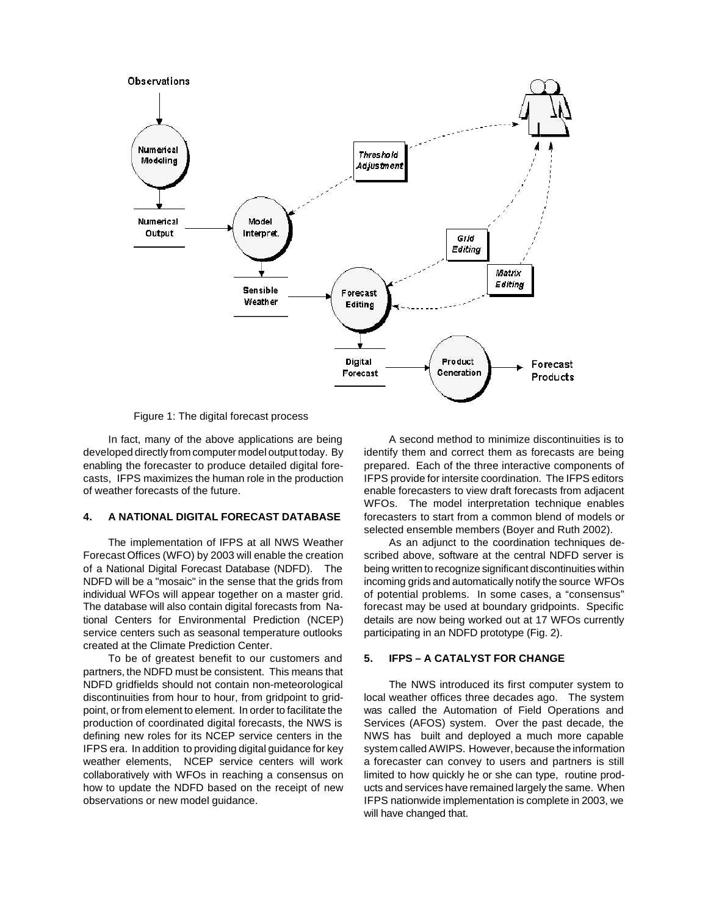

Figure 1: The digital forecast process

In fact, many of the above applications are being developed directly from computer model output today. By enabling the forecaster to produce detailed digital forecasts, IFPS maximizes the human role in the production of weather forecasts of the future.

### **4. A NATIONAL DIGITAL FORECAST DATABASE**

The implementation of IFPS at all NWS Weather Forecast Offices (WFO) by 2003 will enable the creation of a National Digital Forecast Database (NDFD). The NDFD will be a "mosaic" in the sense that the grids from individual WFOs will appear together on a master grid. The database will also contain digital forecasts from National Centers for Environmental Prediction (NCEP) service centers such as seasonal temperature outlooks created at the Climate Prediction Center.

To be of greatest benefit to our customers and partners, the NDFD must be consistent. This means that NDFD gridfields should not contain non-meteorological discontinuities from hour to hour, from gridpoint to gridpoint, or from element to element. In order to facilitate the production of coordinated digital forecasts, the NWS is defining new roles for its NCEP service centers in the IFPS era. In addition to providing digital guidance for key weather elements, NCEP service centers will work collaboratively with WFOs in reaching a consensus on how to update the NDFD based on the receipt of new observations or new model guidance.

A second method to minimize discontinuities is to identify them and correct them as forecasts are being prepared. Each of the three interactive components of IFPS provide for intersite coordination. The IFPS editors enable forecasters to view draft forecasts from adjacent WFOs. The model interpretation technique enables forecasters to start from a common blend of models or selected ensemble members (Boyer and Ruth 2002).

As an adjunct to the coordination techniques described above, software at the central NDFD server is being written to recognize significant discontinuities within incoming grids and automatically notify the source WFOs of potential problems. In some cases, a "consensus" forecast may be used at boundary gridpoints. Specific details are now being worked out at 17 WFOs currently participating in an NDFD prototype (Fig. 2).

#### **5. IFPS – A CATALYST FOR CHANGE**

The NWS introduced its first computer system to local weather offices three decades ago. The system was called the Automation of Field Operations and Services (AFOS) system. Over the past decade, the NWS has built and deployed a much more capable system called AWIPS. However, because the information a forecaster can convey to users and partners is still limited to how quickly he or she can type, routine products and services have remained largely the same. When IFPS nationwide implementation is complete in 2003, we will have changed that.